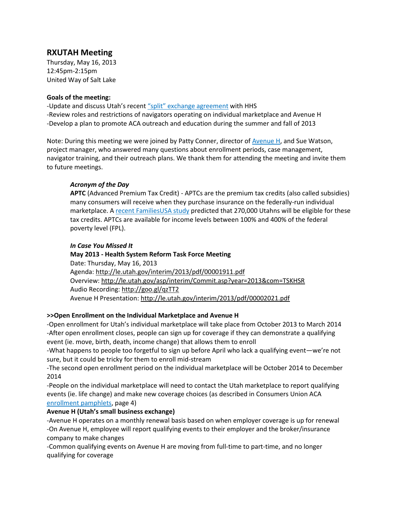# **RXUTAH Meeting**

Thursday, May 16, 2013 12:45pm-2:15pm United Way of Salt Lake

## **Goals of the meeting:**

-Update and discuss Utah's recent "split" [exchange agreement](http://www.sltrib.com/sltrib/news/56287299-78/utah-avenue-federal-exchange.html.csp) with HHS -Review roles and restrictions of navigators operating on individual marketplace and Avenue H -Develop a plan to promote ACA outreach and education during the summer and fall of 2013

Note: During this meeting we were joined by Patty Conner, director of **Avenue H**, and Sue Watson, project manager, who answered many questions about enrollment periods, case management, navigator training, and their outreach plans. We thank them for attending the meeting and invite them to future meetings.

# *Acronym of the Day*

**APTC** (Advanced Premium Tax Credit) - APTCs are the premium tax credits (also called subsidies) many consumers will receive when they purchase insurance on the federally-run individual marketplace. A [recent FamiliesUSA study](http://www.familiesusa.org/resources/newsroom/press-releases/2013-press-releases/UT-tax-credit-eligiblility.html) predicted that 270,000 Utahns will be eligible for these tax credits. APTCs are available for income levels between 100% and 400% of the federal poverty level (FPL).

# *In Case You Missed It*

**May 2013 - Health System Reform Task Force Meeting**  Date: Thursday, May 16, 2013 Agenda:<http://le.utah.gov/interim/2013/pdf/00001911.pdf> Overview:<http://le.utah.gov/asp/interim/Commit.asp?year=2013&com=TSKHSR> Audio Recording:<http://goo.gl/qzTT2> Avenue H Presentation[: http://le.utah.gov/interim/2013/pdf/00002021.pdf](http://le.utah.gov/interim/2013/pdf/00002021.pdf)

# **>>Open Enrollment on the Individual Marketplace and Avenue H**

-Open enrollment for Utah's individual marketplace will take place from October 2013 to March 2014 -After open enrollment closes, people can sign up for coverage if they can demonstrate a qualifying event (ie. move, birth, death, income change) that allows them to enroll

-What happens to people too forgetful to sign up before April who lack a qualifying event—we're not sure, but it could be tricky for them to enroll mid-stream

-The second open enrollment period on the individual marketplace will be October 2014 to December 2014

-People on the individual marketplace will need to contact the Utah marketplace to report qualifying events (ie. life change) and make new coverage choices (as described in Consumers Union ACA [enrollment](http://consumersunion.org/wp-content/uploads/2013/05/SAMPLE_2014_v1.pdf) pamphlets, page 4)

# **Avenue H (Utah's small business exchange)**

-Avenue H operates on a monthly renewal basis based on when employer coverage is up for renewal -On Avenue H, employee will report qualifying events to their employer and the broker/insurance company to make changes

-Common qualifying events on Avenue H are moving from full-time to part-time, and no longer qualifying for coverage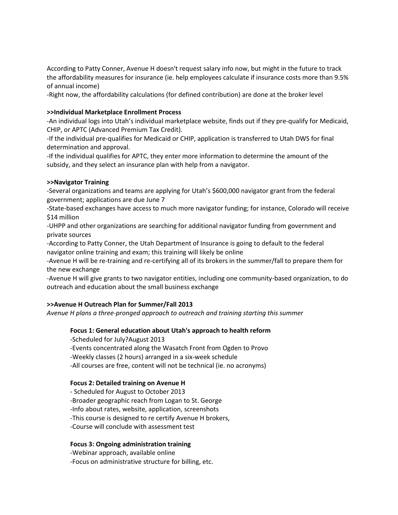According to Patty Conner, Avenue H doesn't request salary info now, but might in the future to track the affordability measures for insurance (ie. help employees calculate if insurance costs more than 9.5% of annual income)

-Right now, the affordability calculations (for defined contribution) are done at the broker level

## **>>Individual Marketplace Enrollment Process**

-An individual logs into [Utah](http://heathcare.gov/)'s individual marketplace website, finds out if they pre-qualify for Medicaid, CHIP, or APTC (Advanced Premium Tax Credit).

-If the individual pre-qualifies for Medicaid or CHIP, application is transferred to Utah DWS for final determination and approval.

-If the individual qualifies for APTC, they enter more information to determine the amount of the subsidy, and they select an insurance plan with help from a navigator.

## **>>Navigator Training**

-Several organizations and teams are applying for Utah's \$600,000 navigator grant from the federal government; applications are due June 7

-State-based exchanges have access to much more navigator funding; for instance, Colorado will receive \$14 million

-UHPP and other organizations are searching for additional navigator funding from government and private sources

-According to Patty Conner, the Utah Department of Insurance is going to default to the federal navigator online training and exam; this training will likely be online

-Avenue H will be re-training and re-certifying all of its brokers in the summer/fall to prepare them for the new exchange

-Avenue H will give grants to two navigator entities, including one community-based organization, to do outreach and education about the small business exchange

# **>>Avenue H Outreach Plan for Summer/Fall 2013**

*Avenue H plans a three-pronged approach to outreach and training starting this summer*

## **Focus 1: General education about Utah's approach to health reform**

-Scheduled for July?August 2013 -Events concentrated along the Wasatch Front from Ogden to Provo -Weekly classes (2 hours) arranged in a six-week schedule -All courses are free, content will not be technical (ie. no acronyms)

## **Focus 2: Detailed training on Avenue H**

- Scheduled for August to October 2013 -Broader geographic reach from Logan to St. George -Info about rates, website, application, screenshots -This course is designed to re certify Avenue H brokers, -Course will conclude with assessment test

## **Focus 3: Ongoing administration training**

-Webinar approach, available online -Focus on administrative structure for billing, etc.